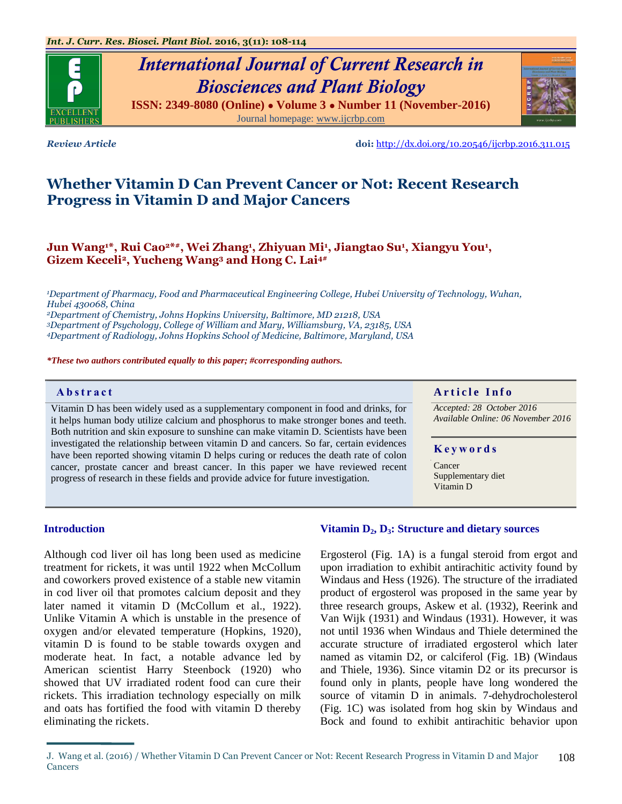# *International Journal of Current Research in Biosciences and Plant Biology*

**ISSN: 2349-8080 (Online) ● Volume 3 ● Number 11 (November-2016)** Journal homepage: [www.ijcrbp.com](http://www.ijcrbp.com/)

*Review Article* **doi:** <http://dx.doi.org/10.20546/ijcrbp.2016.311.015>

## **Whether Vitamin D Can Prevent Cancer or Not: Recent Research Progress in Vitamin D and Major Cancers**

### **Jun Wang1\*, Rui Cao2\* #, Wei Zhang<sup>1</sup> , Zhiyuan Mi<sup>1</sup> , Jiangtao Su<sup>1</sup> , Xiangyu You<sup>1</sup> , Gizem Keceli2, Yucheng Wang<sup>3</sup> and Hong C. Lai4#**

*Department of Pharmacy, Food and Pharmaceutical Engineering College, Hubei University of Technology, Wuhan, Hubei 430068, China Department of Chemistry, Johns Hopkins University, Baltimore, MD 21218, USA Department of Psychology, College of William and Mary, Williamsburg, VA, 23185, USA Department of Radiology, Johns Hopkins School of Medicine, Baltimore, Maryland, USA*

*\*These two authors contributed equally to this paper; #corresponding authors.*

Vitamin D has been widely used as a supplementary component in food and drinks, for it helps human body utilize calcium and phosphorus to make stronger bones and teeth. Both nutrition and skin exposure to sunshine can make vitamin D. Scientists have been investigated the relationship between vitamin D and cancers. So far, certain evidences have been reported showing vitamin D helps curing or reduces the death rate of colon cancer, prostate cancer and breast cancer. In this paper we have reviewed recent progress of research in these fields and provide advice for future investigation.

#### **Abstract And a region of the Info**  $\alpha$  **Article Info**

*Accepted: 28 October 2016 Available Online: 06 November 2016*

#### **K e y w o r d s**

Cancer Supplementary diet Vitamin D

#### **Introduction**

Although cod liver oil has long been used as medicine treatment for rickets, it was until 1922 when McCollum and coworkers proved existence of a stable new vitamin in cod liver oil that promotes calcium deposit and they later named it vitamin D (McCollum et al., 1922). Unlike Vitamin A which is unstable in the presence of oxygen and/or elevated temperature (Hopkins, 1920), vitamin D is found to be stable towards oxygen and moderate heat. In fact, a notable advance led by American scientist Harry Steenbock (1920) who showed that UV irradiated rodent food can cure their rickets. This irradiation technology especially on milk and oats has fortified the food with vitamin D thereby eliminating the rickets.

#### **Vitamin D2, D3: Structure and dietary sources**

Ergosterol (Fig. 1A) is a fungal steroid from ergot and upon irradiation to exhibit antirachitic activity found by Windaus and Hess (1926). The structure of the irradiated product of ergosterol was proposed in the same year by three research groups, Askew et al. (1932), Reerink and Van Wijk (1931) and Windaus (1931). However, it was not until 1936 when Windaus and Thiele determined the accurate structure of irradiated ergosterol which later named as vitamin D2, or calciferol (Fig. 1B) (Windaus and Thiele, 1936). Since vitamin D2 or its precursor is found only in plants, people have long wondered the source of vitamin D in animals. 7-dehydrocholesterol (Fig. 1C) was isolated from hog skin by Windaus and Bock and found to exhibit antirachitic behavior upon



J. Wang et al. (2016) / Whether Vitamin D Can Prevent Cancer or Not: Recent Research Progress in Vitamin D and Major Cancers 108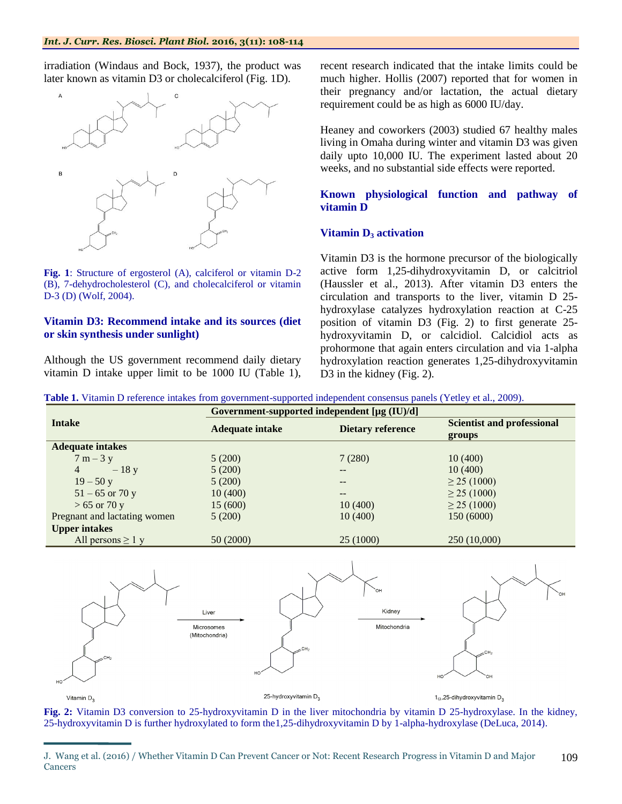irradiation (Windaus and Bock, 1937), the product was later known as vitamin D3 or cholecalciferol (Fig. 1D).



**Fig. 1**: Structure of ergosterol (A), calciferol or vitamin D-2 (B), 7-dehydrocholesterol (C), and cholecalciferol or vitamin D-3 (D) (Wolf, 2004).

#### **Vitamin D3: Recommend intake and its sources (diet or skin synthesis under sunlight)**

Although the US government recommend daily dietary vitamin D intake upper limit to be 1000 IU (Table 1), recent research indicated that the intake limits could be much higher. Hollis (2007) reported that for women in their pregnancy and/or lactation, the actual dietary requirement could be as high as 6000 IU/day.

Heaney and coworkers (2003) studied 67 healthy males living in Omaha during winter and vitamin D3 was given daily upto 10,000 IU. The experiment lasted about 20 weeks, and no substantial side effects were reported.

#### **Known physiological function and pathway of vitamin D**

#### **Vitamin D<sup>3</sup> activation**

Vitamin D3 is the hormone precursor of the biologically active form 1,25-dihydroxyvitamin D, or calcitriol (Haussler et al., 2013). After vitamin D3 enters the circulation and transports to the liver, vitamin D 25 hydroxylase catalyzes hydroxylation reaction at C-25 position of vitamin D3 (Fig. 2) to first generate [25](https://en.wikipedia.org/wiki/Calcifediol) [hydroxyvitamin D,](https://en.wikipedia.org/wiki/Calcifediol) or calcidiol. Calcidiol acts as prohormone that again enters circulation and via 1-alpha hydroxylation reaction generates 1,25-dihydroxyvitamin D<sub>3</sub> in the kidney (Fig. 2).

**Table 1.** Vitamin D reference intakes from government-supported independent consensus panels (Yetley et al., 2009).

|                              | Government-supported independent [µg (IU)/d] |           |                                             |  |  |
|------------------------------|----------------------------------------------|-----------|---------------------------------------------|--|--|
| <b>Intake</b>                | Dietary reference<br><b>Adequate intake</b>  |           | <b>Scientist and professional</b><br>groups |  |  |
| <b>Adequate intakes</b>      |                                              |           |                                             |  |  |
| $7 m - 3 y$                  | 5(200)                                       | 7(280)    | 10(400)                                     |  |  |
| $\overline{4}$<br>$-18$ y    | 5(200)                                       | $- -$     | 10(400)                                     |  |  |
| $19 - 50y$                   | 5(200)                                       | --        | $\geq$ 25 (1000)                            |  |  |
| $51 - 65$ or 70 y            | 10(400)                                      | $- -$     | $\geq$ 25 (1000)                            |  |  |
| $> 65$ or 70 y               | 15(600)                                      | 10(400)   | $\geq$ 25 (1000)                            |  |  |
| Pregnant and lactating women | 5(200)                                       | 10(400)   | 150 (6000)                                  |  |  |
| <b>Upper intakes</b>         |                                              |           |                                             |  |  |
| All persons $\geq 1$ y       | 50 (2000)                                    | 25 (1000) | 250 (10,000)                                |  |  |



**Fig. 2:** Vitamin D3 conversion to [25-hydroxyvitamin D](https://en.wikipedia.org/wiki/Calcifediol) in the liver mitochondria by vitamin D 25-hydroxylase. In the kidney, [25-hydroxyvitamin D](https://en.wikipedia.org/wiki/Calcifediol) is further hydroxylated to form the1,25-dihydroxyvitamin D by 1-alpha-hydroxylase (DeLuca, 2014).

J. Wang et al. (2016) / Whether Vitamin D Can Prevent Cancer or Not: Recent Research Progress in Vitamin D and Major **Cancers** 109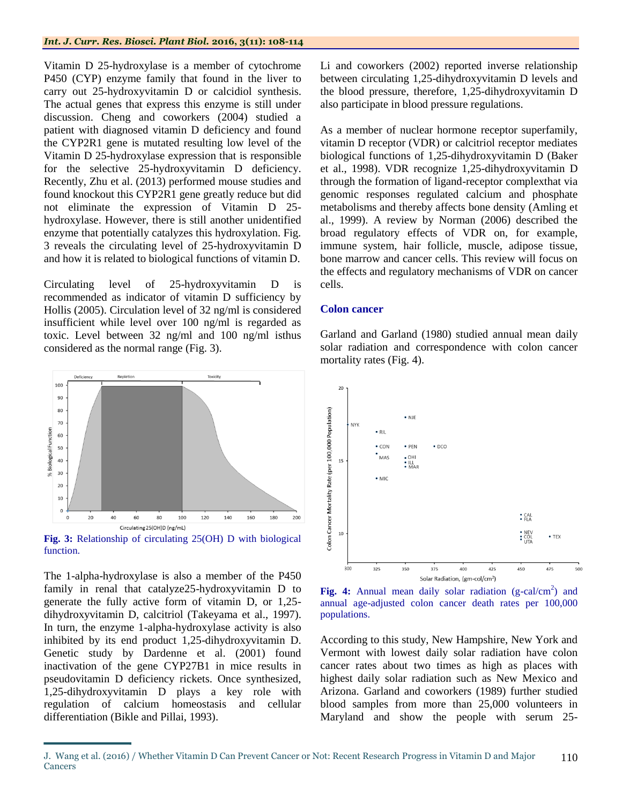Vitamin D 25-hydroxylase is a member of cytochrome P450 (CYP) enzyme family that found in the liver to carry out 25-hydroxyvitamin D or calcidiol synthesis. The actual genes that express this enzyme is still under discussion. Cheng and coworkers (2004) studied a patient with diagnosed vitamin D deficiency and found the CYP2R1 gene is mutated resulting low level of the Vitamin D 25-hydroxylase expression that is responsible for the selective 25-hydroxyvitamin D deficiency. Recently, Zhu et al. (2013) performed mouse studies and found knockout this CYP2R1 gene greatly reduce but did not eliminate the expression of Vitamin D 25 hydroxylase. However, there is still another unidentified enzyme that potentially catalyzes this hydroxylation. Fig. 3 reveals the circulating level of 25-hydroxyvitamin D and how it is related to biological functions of vitamin D.

Circulating level of 25-hydroxyvitamin D is recommended as indicator of vitamin D sufficiency by Hollis (2005). Circulation level of 32 ng/ml is considered insufficient while level over 100 ng/ml is regarded as toxic. Level between 32 ng/ml and 100 ng/ml isthus considered as the normal range (Fig. 3).



function.

The 1-alpha-hydroxylase is also a member of the P450 family in renal that catalyze25-hydroxyvitamin D to generate the fully active form of vitamin D, or 1,25 dihydroxyvitamin D, calcitriol (Takeyama et al., 1997). In turn, the enzyme 1-alpha-hydroxylase activity is also inhibited by its end product 1,25-dihydroxyvitamin D. Genetic study by Dardenne et al. (2001) found inactivation of the gene CYP27B1 in mice results in pseudovitamin D deficiency rickets. Once synthesized, 1,25-dihydroxyvitamin D plays a key role with regulation of calcium homeostasis and cellular differentiation (Bikle and Pillai, 1993).

Li and coworkers (2002) reported inverse relationship between circulating 1,25-dihydroxyvitamin D levels and the blood pressure, therefore, 1,25-dihydroxyvitamin D also participate in blood pressure regulations.

As a member of nuclear hormone receptor superfamily, vitamin D receptor (VDR) or calcitriol receptor mediates biological functions of 1,25-dihydroxyvitamin D (Baker et al., 1998). VDR recognize 1,25-dihydroxyvitamin D through the formation of ligand-receptor complexthat via genomic responses regulated calcium and phosphate metabolisms and thereby affects bone density (Amling et al., 1999). A review by Norman (2006) described the broad regulatory effects of VDR on, for example, immune system, hair follicle, muscle, adipose tissue, bone marrow and cancer cells. This review will focus on the effects and regulatory mechanisms of VDR on cancer cells.

#### **Colon cancer**

Garland and Garland (1980) studied annual mean daily solar radiation and correspondence with colon cancer mortality rates (Fig. 4).



Fig. 4: Annual mean daily solar radiation (g-cal/cm<sup>2</sup>) and annual age-adjusted colon cancer death rates per 100,000 populations.

According to this study, New Hampshire, New York and Vermont with lowest daily solar radiation have colon cancer rates about two times as high as places with highest daily solar radiation such as New Mexico and Arizona. Garland and coworkers (1989) further studied blood samples from more than 25,000 volunteers in Maryland and show the people with serum 25-

J. Wang et al. (2016) / Whether Vitamin D Can Prevent Cancer or Not: Recent Research Progress in Vitamin D and Major **Cancers** 110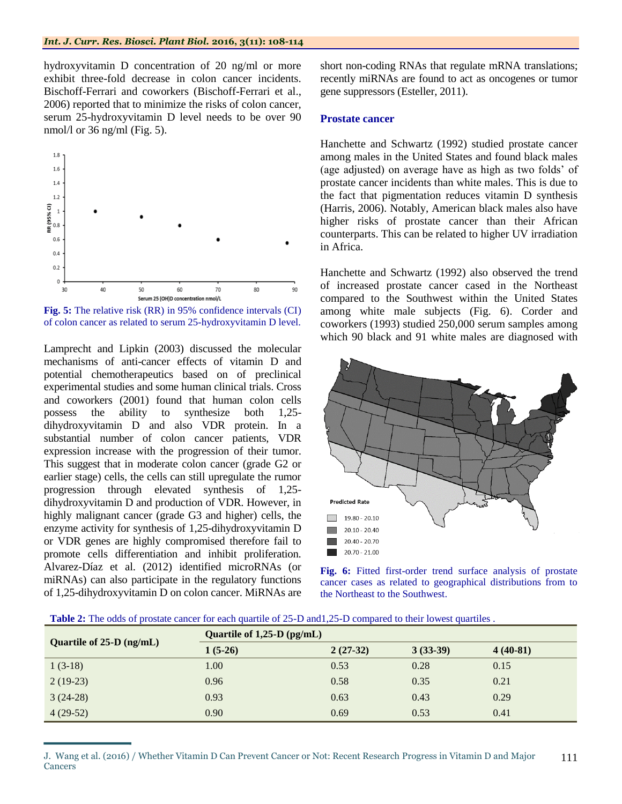hydroxyvitamin D concentration of 20 ng/ml or more exhibit three-fold decrease in colon cancer incidents. Bischoff-Ferrari and coworkers (Bischoff-Ferrari et al., 2006) reported that to minimize the risks of colon cancer, serum 25-hydroxyvitamin D level needs to be over 90 nmol/l or  $36$  ng/ml (Fig. 5).



**Fig. 5:** The relative risk (RR) in 95% confidence intervals (CI) of colon cancer as related to serum 25-hydroxyvitamin D level.

Lamprecht and Lipkin (2003) discussed the molecular mechanisms of anti-cancer effects of vitamin D and potential chemotherapeutics based on of preclinical experimental studies and some human clinical trials. Cross and coworkers (2001) found that human colon cells possess the ability to synthesize both 1,25 dihydroxyvitamin D and also VDR protein. In a substantial number of colon cancer patients, VDR expression increase with the progression of their tumor. This suggest that in moderate colon cancer (grade G2 or earlier stage) cells, the cells can still upregulate the rumor progression through elevated synthesis of 1,25 dihydroxyvitamin D and production of VDR. However, in highly malignant cancer (grade G3 and higher) cells, the enzyme activity for synthesis of 1,25-dihydroxyvitamin D or VDR genes are highly compromised therefore fail to promote cells differentiation and inhibit proliferation. Alvarez-Díaz et al. (2012) identified microRNAs (or miRNAs) can also participate in the regulatory functions of 1,25-dihydroxyvitamin D on colon cancer. MiRNAs are

short non-coding RNAs that regulate mRNA translations; recently miRNAs are found to act as oncogenes or tumor gene suppressors (Esteller, 2011).

#### **Prostate cancer**

Hanchette and Schwartz (1992) studied prostate cancer among males in the United States and found black males (age adjusted) on average have as high as two folds' of prostate cancer incidents than white males. This is due to the fact that pigmentation reduces vitamin D synthesis (Harris, 2006). Notably, American black males also have higher risks of prostate cancer than their African counterparts. This can be related to higher UV irradiation in Africa.

Hanchette and Schwartz (1992) also observed the trend of increased prostate cancer cased in the Northeast compared to the Southwest within the United States among white male subjects (Fig. 6). Corder and coworkers (1993) studied 250,000 serum samples among which 90 black and 91 white males are diagnosed with



**Fig. 6:** Fitted first-order trend surface analysis of prostate cancer cases as related to geographical distributions from to the Northeast to the Southwest.

| <b>Table 2:</b> The odds of prostate cancer for each quartile of 25-D and 1.25-D compared to their lowest quartiles. |
|----------------------------------------------------------------------------------------------------------------------|
|----------------------------------------------------------------------------------------------------------------------|

| Quartile of $25-D$ (ng/mL) | Quartile of $1,25-D$ (pg/mL) |            |            |            |  |
|----------------------------|------------------------------|------------|------------|------------|--|
|                            | $1(5-26)$                    | $2(27-32)$ | $3(33-39)$ | $4(40-81)$ |  |
| $1(3-18)$                  | 1.00                         | 0.53       | 0.28       | 0.15       |  |
| $2(19-23)$                 | 0.96                         | 0.58       | 0.35       | 0.21       |  |
| $3(24-28)$                 | 0.93                         | 0.63       | 0.43       | 0.29       |  |
| $4(29-52)$                 | 0.90                         | 0.69       | 0.53       | 0.41       |  |

J. Wang et al. (2016) / Whether Vitamin D Can Prevent Cancer or Not: Recent Research Progress in Vitamin D and Major Cancers 111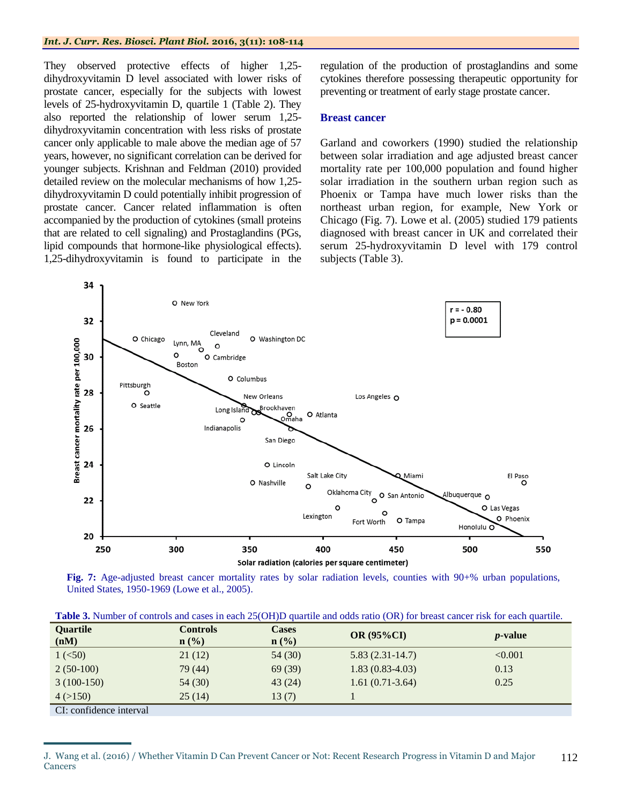They observed protective effects of higher 1,25 dihydroxyvitamin D level associated with lower risks of prostate cancer, especially for the subjects with lowest levels of 25-hydroxyvitamin D, quartile 1 (Table 2). They also reported the relationship of lower serum 1,25 dihydroxyvitamin concentration with less risks of prostate cancer only applicable to male above the median age of 57 years, however, no significant correlation can be derived for younger subjects. Krishnan and Feldman (2010) provided detailed review on the molecular mechanisms of how 1,25 dihydroxyvitamin D could potentially inhibit progression of prostate cancer. Cancer related inflammation is often accompanied by the production of cytokines (small proteins that are related to cell signaling) and Prostaglandins (PGs, lipid compounds that hormone-like physiological effects). 1,25-dihydroxyvitamin is found to participate in the

regulation of the production of prostaglandins and some cytokines therefore possessing therapeutic opportunity for preventing or treatment of early stage prostate cancer.

#### **Breast cancer**

Garland and coworkers (1990) studied the relationship between solar irradiation and age adjusted breast cancer mortality rate per 100,000 population and found higher solar irradiation in the southern urban region such as Phoenix or Tampa have much lower risks than the northeast urban region, for example, New York or Chicago (Fig. 7). Lowe et al. (2005) studied 179 patients diagnosed with breast cancer in UK and correlated their serum 25-hydroxyvitamin D level with 179 control subjects (Table 3).



**Fig. 7:** Age-adjusted breast cancer mortality rates by solar radiation levels, counties with 90+% urban populations, United States, 1950-1969 (Lowe et al., 2005).

| <b>Table 3.</b> Number of controls and cases in each 25(OH)D quartile and odds ratio (OR) for breast cancer risk for each quartile. |  |  |  |  |  |
|-------------------------------------------------------------------------------------------------------------------------------------|--|--|--|--|--|
|-------------------------------------------------------------------------------------------------------------------------------------|--|--|--|--|--|

| <b>Ouartile</b>              | <b>Controls</b>             | <b>Cases</b>     | <b>OR (95%CI)</b> |                 |  |
|------------------------------|-----------------------------|------------------|-------------------|-----------------|--|
| (nM)                         | $n\left(\frac{0}{0}\right)$ | $\mathbf{n}(\%)$ |                   | <i>p</i> -value |  |
| 1 (< 50)                     | 21(12)                      | 54 (30)          | $5.83(2.31-14.7)$ | < 0.001         |  |
| $2(50-100)$                  | 79 (44)                     | 69(39)           | $1.83(0.83-4.03)$ | 0.13            |  |
| $3(100-150)$                 | 54(30)                      | 43(24)           | $1.61(0.71-3.64)$ | 0.25            |  |
| 4 (>150)                     | 25(14)                      | 13(7)            |                   |                 |  |
| $\Gamma$ confidence interval |                             |                  |                   |                 |  |

CI: confidence interval

J. Wang et al. (2016) / Whether Vitamin D Can Prevent Cancer or Not: Recent Research Progress in Vitamin D and Major Cancers 112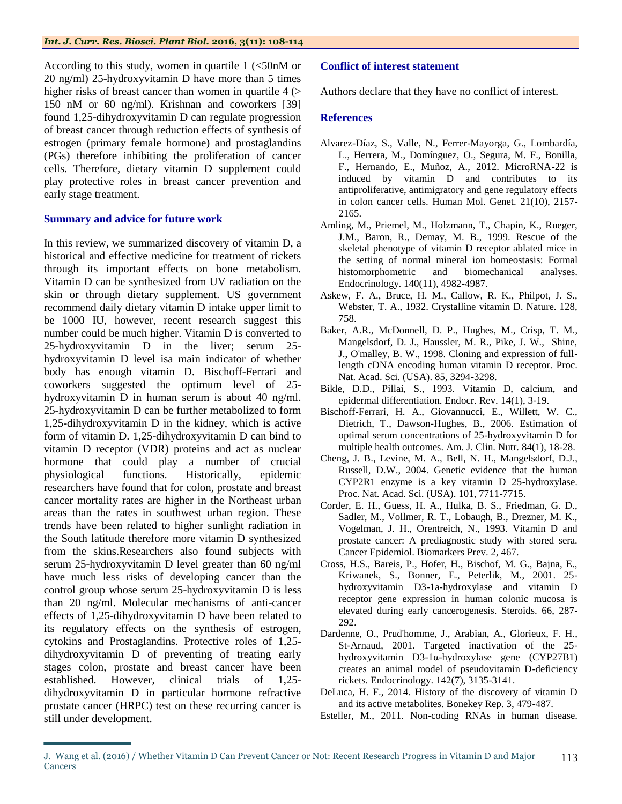According to this study, women in quartile 1 (<50nM or 20 ng/ml) 25-hydroxyvitamin D have more than 5 times higher risks of breast cancer than women in quartile  $4$  ( $>$ 150 nM or 60 ng/ml). Krishnan and coworkers [39] found 1,25-dihydroxyvitamin D can regulate progression of breast cancer through reduction effects of synthesis of estrogen (primary female hormone) and prostaglandins (PGs) therefore inhibiting the proliferation of cancer cells. Therefore, dietary vitamin D supplement could play protective roles in breast cancer prevention and early stage treatment.

#### **Summary and advice for future work**

In this review, we summarized discovery of vitamin D, a historical and effective medicine for treatment of rickets through its important effects on bone metabolism. Vitamin D can be synthesized from UV radiation on the skin or through dietary supplement. US government recommend daily dietary vitamin D intake upper limit to be 1000 IU, however, recent research suggest this number could be much higher. Vitamin D is converted to 25-hydroxyvitamin D in the liver; serum 25 hydroxyvitamin D level isa main indicator of whether body has enough vitamin D. Bischoff-Ferrari and coworkers suggested the optimum level of 25 hydroxyvitamin D in human serum is about 40 ng/ml. 25-hydroxyvitamin D can be further metabolized to form 1,25-dihydroxyvitamin D in the kidney, which is active form of vitamin D. 1,25-dihydroxyvitamin D can bind to vitamin D receptor (VDR) proteins and act as nuclear hormone that could play a number of crucial physiological functions. Historically, epidemic researchers have found that for colon, prostate and breast cancer mortality rates are higher in the Northeast urban areas than the rates in southwest urban region. These trends have been related to higher sunlight radiation in the South latitude therefore more vitamin D synthesized from the skins.Researchers also found subjects with serum 25-hydroxyvitamin D level greater than 60 ng/ml have much less risks of developing cancer than the control group whose serum 25-hydroxyvitamin D is less than 20 ng/ml. Molecular mechanisms of anti-cancer effects of 1,25-dihydroxyvitamin D have been related to its regulatory effects on the synthesis of estrogen, cytokins and Prostaglandins. Protective roles of 1,25 dihydroxyvitamin D of preventing of treating early stages colon, prostate and breast cancer have been established. However, clinical trials of 1,25 dihydroxyvitamin D in particular hormone refractive prostate cancer (HRPC) test on these recurring cancer is still under development.

#### **Conflict of interest statement**

Authors declare that they have no conflict of interest.

#### **References**

- Alvarez-Díaz, S., Valle, N., Ferrer-Mayorga, G., Lombardía, L., Herrera, M., Domínguez, O., Segura, M. F., Bonilla, F., Hernando, E., Muñoz, A., 2012. MicroRNA-22 is induced by vitamin D and contributes to its antiproliferative, antimigratory and gene regulatory effects in colon cancer cells. Human Mol. Genet. 21(10), 2157- 2165.
- Amling, M., Priemel, M., Holzmann, T., Chapin, K., Rueger, J.M., Baron, R., Demay, M. B., 1999. Rescue of the skeletal phenotype of vitamin D receptor ablated mice in the setting of normal mineral ion homeostasis: Formal histomorphometric and biomechanical analyses. Endocrinology. 140(11), 4982-4987.
- Askew, F. A., Bruce, H. M., Callow, R. K., Philpot, J. S., Webster, T. A., 1932. Crystalline vitamin D. Nature. 128, 758.
- Baker, A.R., McDonnell, D. P., Hughes, M., Crisp, T. M., Mangelsdorf, D. J., Haussler, M. R., Pike, J. W., Shine, J., O'malley, B. W., 1998. Cloning and expression of fulllength cDNA encoding human vitamin D receptor. Proc. Nat. Acad. Sci. (USA). 85, 3294-3298.
- Bikle, D.D., Pillai, S., 1993. Vitamin D, calcium, and epidermal differentiation. Endocr. Rev. 14(1), 3-19.
- Bischoff-Ferrari, H. A., Giovannucci, E., Willett, W. C., Dietrich, T., Dawson-Hughes, B., 2006. Estimation of optimal serum concentrations of 25-hydroxyvitamin D for multiple health outcomes. Am. J. Clin. Nutr. 84(1), 18-28.
- Cheng, J. B., Levine, M. A., Bell, N. H., Mangelsdorf, D.J., Russell, D.W., 2004. Genetic evidence that the human CYP2R1 enzyme is a key vitamin D 25-hydroxylase. Proc. Nat. Acad. Sci. (USA). 101, 7711-7715.
- Corder, E. H., Guess, H. A., Hulka, B. S., Friedman, G. D., Sadler, M., Vollmer, R. T., Lobaugh, B., Drezner, M. K., Vogelman, J. H., Orentreich, N., 1993. Vitamin D and prostate cancer: A prediagnostic study with stored sera. Cancer Epidemiol. Biomarkers Prev. 2, 467.
- Cross, H.S., Bareis, P., Hofer, H., Bischof, M. G., Bajna, E., Kriwanek, S., Bonner, E., Peterlik, M., 2001. 25 hydroxyvitamin D3-1a-hydroxylase and vitamin D receptor gene expression in human colonic mucosa is elevated during early cancerogenesis. Steroids. 66, 287- 292.
- Dardenne, O., Prud'homme, J., Arabian, A., Glorieux, F. H., St-Arnaud, 2001. Targeted inactivation of the 25 hydroxyvitamin D3-1α-hydroxylase gene (CYP27B1) creates an animal model of pseudovitamin D-deficiency rickets. Endocrinology. 142(7), 3135-3141.
- DeLuca, H. F., 2014. History of the discovery of vitamin D and its active metabolites. Bonekey Rep. 3, 479-487.
- Esteller, M., 2011. Non-coding RNAs in human disease.